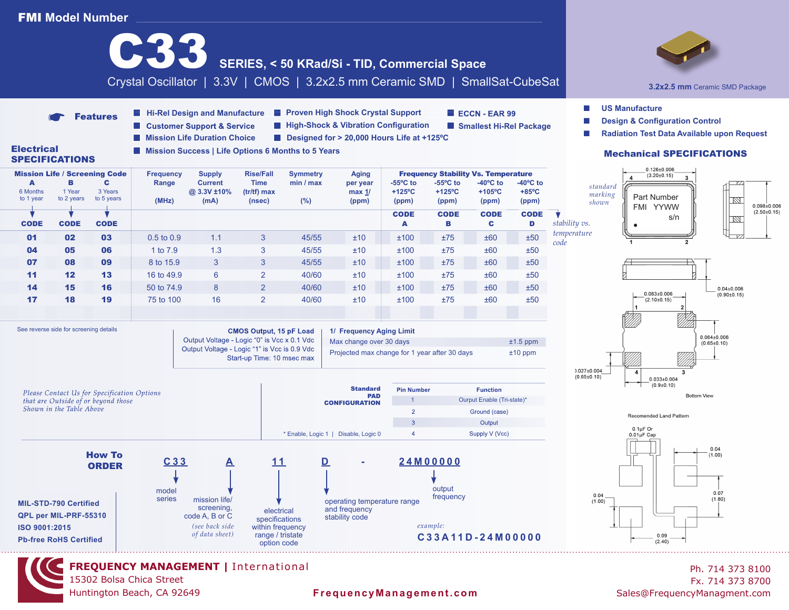

**FREQUENCY MANAGEMENT |** International 15302 Bolsa Chica Street Huntington Beach, CA 92649

## **FrequencyManagement.com** Sales@FrequencyManagment.com

Ph. 714 373 8100 Fx. 714 373 8700